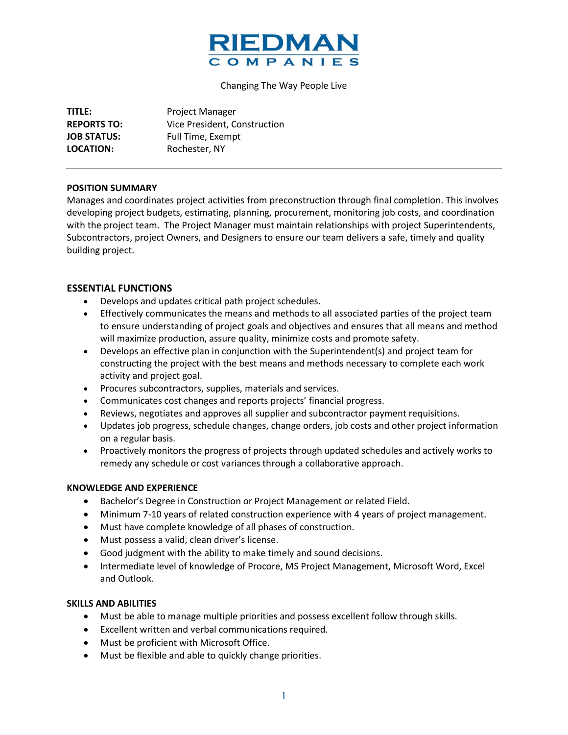

#### Changing The Way People Live

| TITLE:             | Project Manager              |
|--------------------|------------------------------|
| <b>REPORTS TO:</b> | Vice President, Construction |
| <b>JOB STATUS:</b> | Full Time, Exempt            |
| LOCATION:          | Rochester, NY                |

### **POSITION SUMMARY**

Manages and coordinates project activities from preconstruction through final completion. This involves developing project budgets, estimating, planning, procurement, monitoring job costs, and coordination with the project team. The Project Manager must maintain relationships with project Superintendents, Subcontractors, project Owners, and Designers to ensure our team delivers a safe, timely and quality building project.

## **ESSENTIAL FUNCTIONS**

- Develops and updates critical path project schedules.
- Effectively communicates the means and methods to all associated parties of the project team to ensure understanding of project goals and objectives and ensures that all means and method will maximize production, assure quality, minimize costs and promote safety.
- Develops an effective plan in conjunction with the Superintendent(s) and project team for constructing the project with the best means and methods necessary to complete each work activity and project goal.
- Procures subcontractors, supplies, materials and services.
- Communicates cost changes and reports projects' financial progress.
- Reviews, negotiates and approves all supplier and subcontractor payment requisitions.
- Updates job progress, schedule changes, change orders, job costs and other project information on a regular basis.
- Proactively monitors the progress of projects through updated schedules and actively works to remedy any schedule or cost variances through a collaborative approach.

#### **KNOWLEDGE AND EXPERIENCE**

- Bachelor's Degree in Construction or Project Management or related Field.
- Minimum 7-10 years of related construction experience with 4 years of project management.
- Must have complete knowledge of all phases of construction.
- Must possess a valid, clean driver's license.
- Good judgment with the ability to make timely and sound decisions.
- Intermediate level of knowledge of Procore, MS Project Management, Microsoft Word, Excel and Outlook.

## **SKILLS AND ABILITIES**

- Must be able to manage multiple priorities and possess excellent follow through skills.
- Excellent written and verbal communications required.
- Must be proficient with Microsoft Office.
- Must be flexible and able to quickly change priorities.